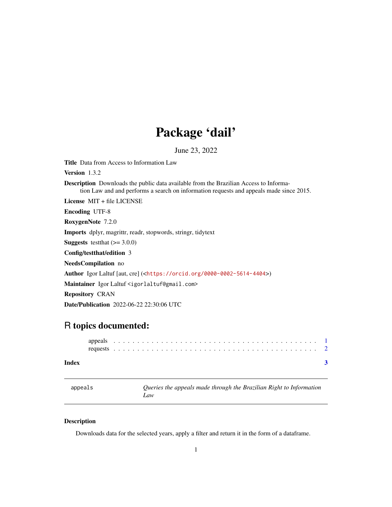## Package 'dail'

June 23, 2022

<span id="page-0-0"></span>Title Data from Access to Information Law

Version 1.3.2

Description Downloads the public data available from the Brazilian Access to Information Law and and performs a search on information requests and appeals made since 2015.

License MIT + file LICENSE

Encoding UTF-8

RoxygenNote 7.2.0

Imports dplyr, magrittr, readr, stopwords, stringr, tidytext

**Suggests** testthat  $(>= 3.0.0)$ 

Config/testthat/edition 3

NeedsCompilation no

Author Igor Laltuf [aut, cre] (<<https://orcid.org/0000-0002-5614-4404>>)

Maintainer Igor Laltuf <igorlaltuf@gmail.com>

Repository CRAN

Date/Publication 2022-06-22 22:30:06 UTC

### R topics documented:

#### **Index** [3](#page-2-0)

appeals *Queries the appeals made through the Brazilian Right to Information Law*

#### Description

Downloads data for the selected years, apply a filter and return it in the form of a dataframe.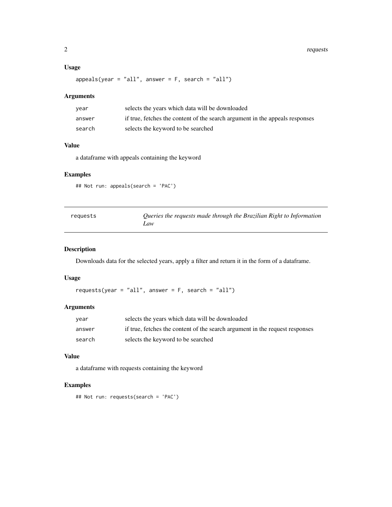#### <span id="page-1-0"></span>Usage

 $appeals(year = "all", answer = F, search = "all")$ 

#### Arguments

| year   | selects the years which data will be downloaded                              |
|--------|------------------------------------------------------------------------------|
| answer | if true, fetches the content of the search argument in the appeals responses |
| search | selects the keyword to be searched                                           |

#### Value

a dataframe with appeals containing the keyword

#### Examples

```
## Not run: appeals(search = 'PAC')
```

| requests | Queries the requests made through the Brazilian Right to Information |
|----------|----------------------------------------------------------------------|
|          | Law                                                                  |

#### Description

Downloads data for the selected years, apply a filter and return it in the form of a dataframe.

#### Usage

```
requests(year = "all", answer = F, search = "all")
```
#### Arguments

| vear   | selects the years which data will be downloaded                              |
|--------|------------------------------------------------------------------------------|
| answer | if true, fetches the content of the search argument in the request responses |
| search | selects the keyword to be searched                                           |

#### Value

a dataframe with requests containing the keyword

#### Examples

```
## Not run: requests(search = 'PAC')
```